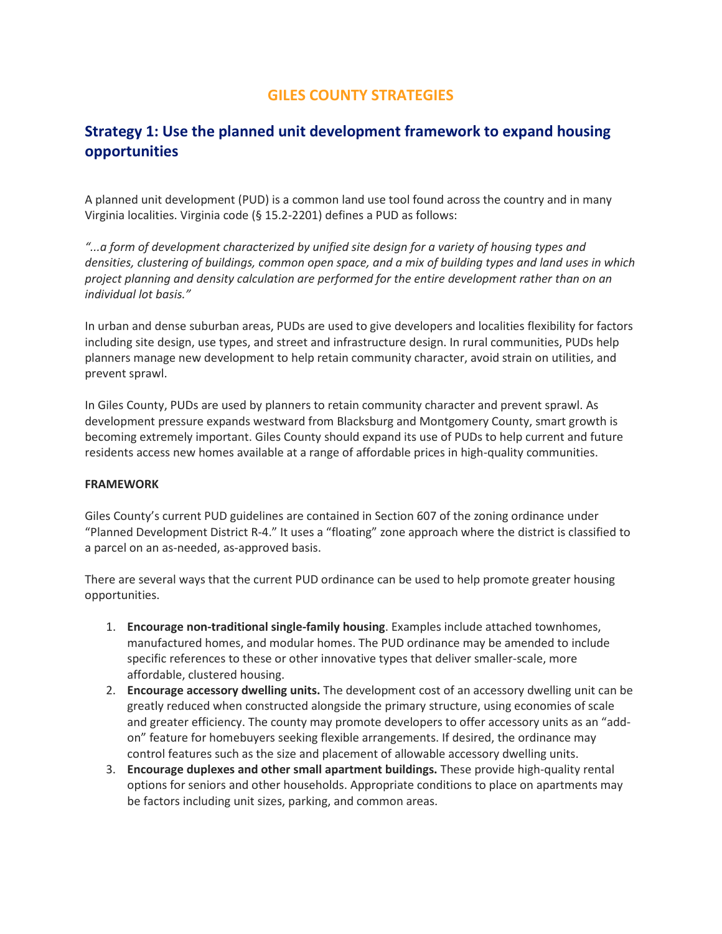# **GILES COUNTY STRATEGIES**

# **Strategy 1: Use the planned unit development framework to expand housing opportunities**

A planned unit development (PUD) is a common land use tool found across the country and in many Virginia localities. Virginia code (§ 15.2-2201) defines a PUD as follows:

*"...a form of development characterized by unified site design for a variety of housing types and densities, clustering of buildings, common open space, and a mix of building types and land uses in which project planning and density calculation are performed for the entire development rather than on an individual lot basis."*

In urban and dense suburban areas, PUDs are used to give developers and localities flexibility for factors including site design, use types, and street and infrastructure design. In rural communities, PUDs help planners manage new development to help retain community character, avoid strain on utilities, and prevent sprawl.

In Giles County, PUDs are used by planners to retain community character and prevent sprawl. As development pressure expands westward from Blacksburg and Montgomery County, smart growth is becoming extremely important. Giles County should expand its use of PUDs to help current and future residents access new homes available at a range of affordable prices in high-quality communities.

#### **FRAMEWORK**

Giles County's current PUD guidelines are contained in Section 607 of the zoning ordinance under "Planned Development District R-4." It uses a "floating" zone approach where the district is classified to a parcel on an as-needed, as-approved basis.

There are several ways that the current PUD ordinance can be used to help promote greater housing opportunities.

- 1. **Encourage non-traditional single-family housing**. Examples include attached townhomes, manufactured homes, and modular homes. The PUD ordinance may be amended to include specific references to these or other innovative types that deliver smaller-scale, more affordable, clustered housing.
- 2. **Encourage accessory dwelling units.** The development cost of an accessory dwelling unit can be greatly reduced when constructed alongside the primary structure, using economies of scale and greater efficiency. The county may promote developers to offer accessory units as an "addon" feature for homebuyers seeking flexible arrangements. If desired, the ordinance may control features such as the size and placement of allowable accessory dwelling units.
- 3. **Encourage duplexes and other small apartment buildings.** These provide high-quality rental options for seniors and other households. Appropriate conditions to place on apartments may be factors including unit sizes, parking, and common areas.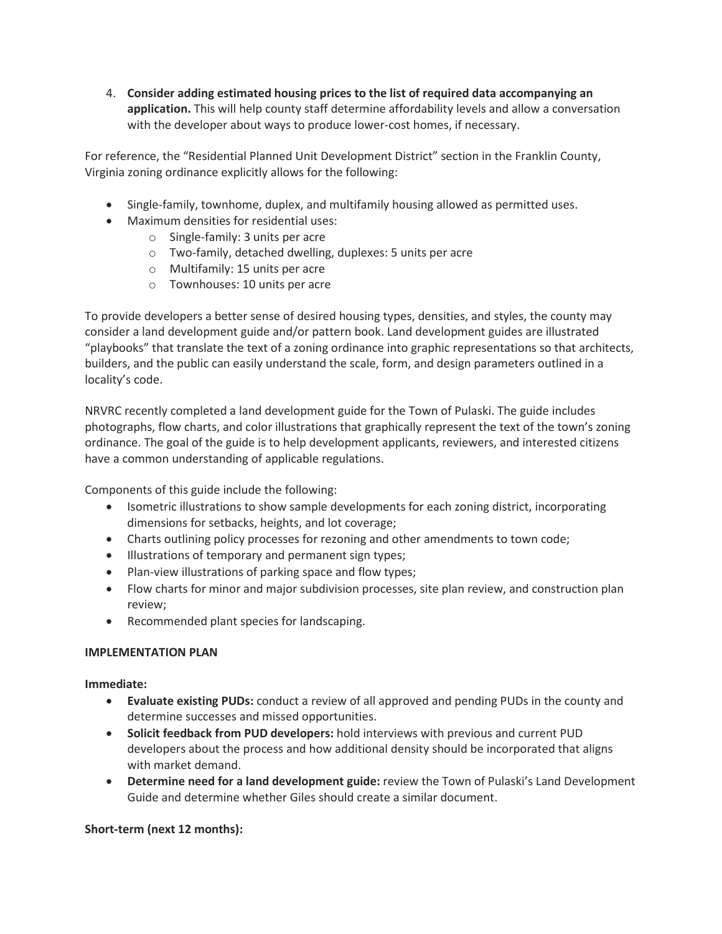4. **Consider adding estimated housing prices to the list of required data accompanying an application.** This will help county staff determine affordability levels and allow a conversation with the developer about ways to produce lower-cost homes, if necessary.

For reference, the "Residential Planned Unit Development District" section in the Franklin County, Virginia zoning ordinance explicitly allows for the following:

- Single-family, townhome, duplex, and multifamily housing allowed as permitted uses.
- Maximum densities for residential uses:
	- o Single-family: 3 units per acre
	- o Two-family, detached dwelling, duplexes: 5 units per acre
	- o Multifamily: 15 units per acre
	- o Townhouses: 10 units per acre

To provide developers a better sense of desired housing types, densities, and styles, the county may consider a land development guide and/or pattern book. Land development guides are illustrated "playbooks" that translate the text of a zoning ordinance into graphic representations so that architects, builders, and the public can easily understand the scale, form, and design parameters outlined in a locality's code.

NRVRC recently completed a land development guide for the Town of Pulaski. The guide includes photographs, flow charts, and color illustrations that graphically represent the text of the town's zoning ordinance. The goal of the guide is to help development applicants, reviewers, and interested citizens have a common understanding of applicable regulations.

Components of this guide include the following:

- Isometric illustrations to show sample developments for each zoning district, incorporating dimensions for setbacks, heights, and lot coverage;
- Charts outlining policy processes for rezoning and other amendments to town code;
- Illustrations of temporary and permanent sign types;
- Plan-view illustrations of parking space and flow types;
- Flow charts for minor and major subdivision processes, site plan review, and construction plan review;
- Recommended plant species for landscaping.

### **IMPLEMENTATION PLAN**

### **Immediate:**

- **Evaluate existing PUDs:** conduct a review of all approved and pending PUDs in the county and determine successes and missed opportunities.
- **Solicit feedback from PUD developers:** hold interviews with previous and current PUD developers about the process and how additional density should be incorporated that aligns with market demand.
- **Determine need for a land development guide:** review the Town of Pulaski's Land Development Guide and determine whether Giles should create a similar document.

### **Short-term (next 12 months):**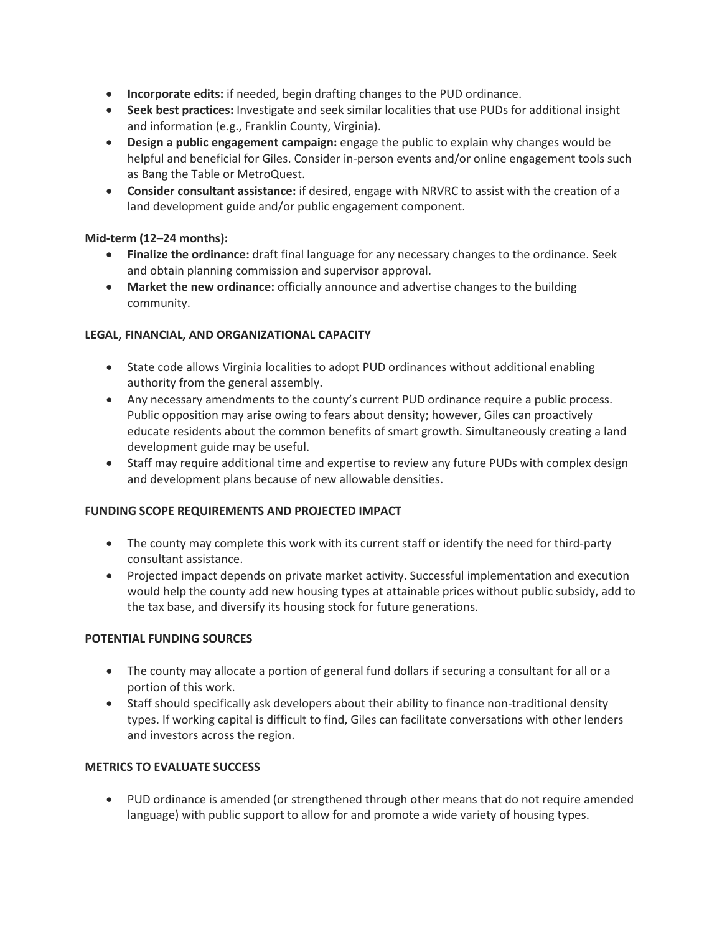- **Incorporate edits:** if needed, begin drafting changes to the PUD ordinance.
- **Seek best practices:** Investigate and seek similar localities that use PUDs for additional insight and information (e.g., Franklin County, Virginia).
- **Design a public engagement campaign:** engage the public to explain why changes would be helpful and beneficial for Giles. Consider in-person events and/or online engagement tools such as Bang the Table or MetroQuest.
- **Consider consultant assistance:** if desired, engage with NRVRC to assist with the creation of a land development guide and/or public engagement component.

# **Mid-term (12–24 months):**

- **Finalize the ordinance:** draft final language for any necessary changes to the ordinance. Seek and obtain planning commission and supervisor approval.
- **Market the new ordinance:** officially announce and advertise changes to the building community.

# **LEGAL, FINANCIAL, AND ORGANIZATIONAL CAPACITY**

- State code allows Virginia localities to adopt PUD ordinances without additional enabling authority from the general assembly.
- Any necessary amendments to the county's current PUD ordinance require a public process. Public opposition may arise owing to fears about density; however, Giles can proactively educate residents about the common benefits of smart growth. Simultaneously creating a land development guide may be useful.
- Staff may require additional time and expertise to review any future PUDs with complex design and development plans because of new allowable densities.

### **FUNDING SCOPE REQUIREMENTS AND PROJECTED IMPACT**

- The county may complete this work with its current staff or identify the need for third-party consultant assistance.
- Projected impact depends on private market activity. Successful implementation and execution would help the county add new housing types at attainable prices without public subsidy, add to the tax base, and diversify its housing stock for future generations.

### **POTENTIAL FUNDING SOURCES**

- The county may allocate a portion of general fund dollars if securing a consultant for all or a portion of this work.
- Staff should specifically ask developers about their ability to finance non-traditional density types. If working capital is difficult to find, Giles can facilitate conversations with other lenders and investors across the region.

# **METRICS TO EVALUATE SUCCESS**

• PUD ordinance is amended (or strengthened through other means that do not require amended language) with public support to allow for and promote a wide variety of housing types.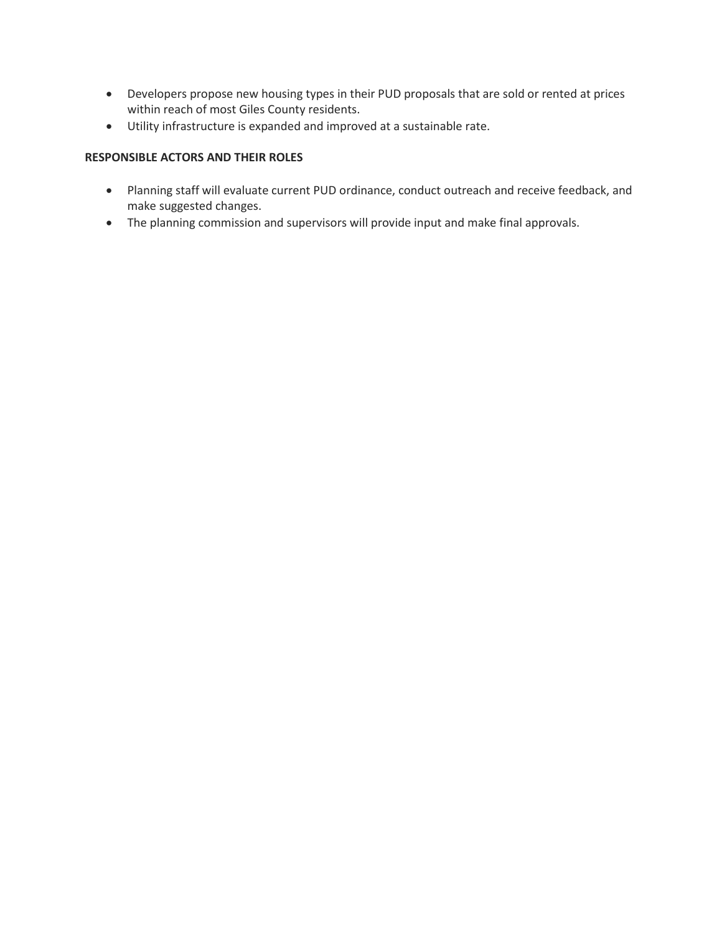- Developers propose new housing types in their PUD proposals that are sold or rented at prices within reach of most Giles County residents.
- Utility infrastructure is expanded and improved at a sustainable rate.

# **RESPONSIBLE ACTORS AND THEIR ROLES**

- Planning staff will evaluate current PUD ordinance, conduct outreach and receive feedback, and make suggested changes.
- The planning commission and supervisors will provide input and make final approvals.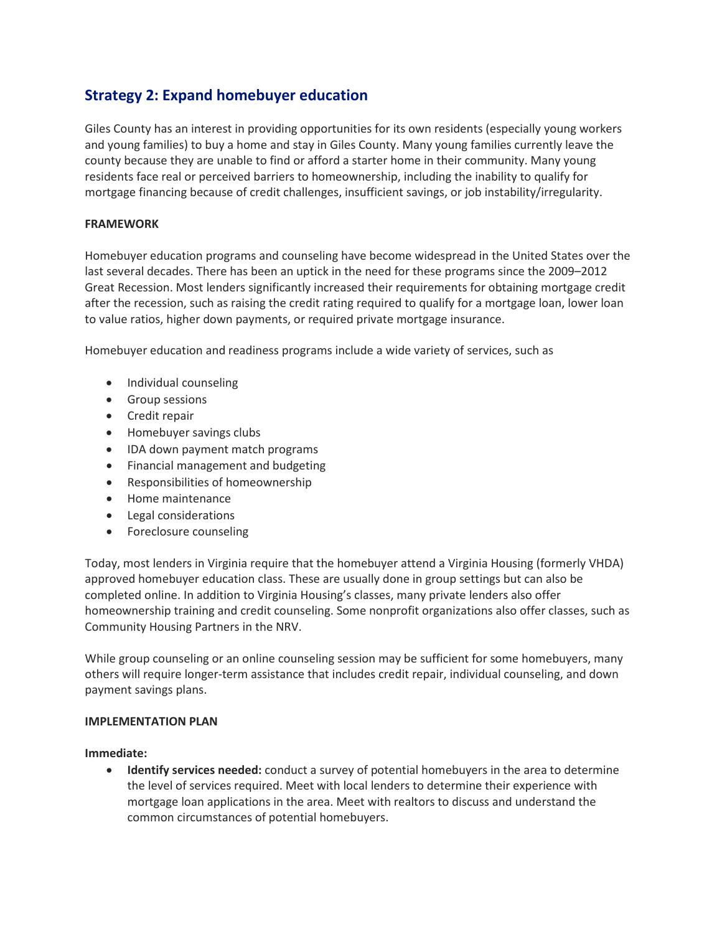# **Strategy 2: Expand homebuyer education**

Giles County has an interest in providing opportunities for its own residents (especially young workers and young families) to buy a home and stay in Giles County. Many young families currently leave the county because they are unable to find or afford a starter home in their community. Many young residents face real or perceived barriers to homeownership, including the inability to qualify for mortgage financing because of credit challenges, insufficient savings, or job instability/irregularity.

# **FRAMEWORK**

Homebuyer education programs and counseling have become widespread in the United States over the last several decades. There has been an uptick in the need for these programs since the 2009–2012 Great Recession. Most lenders significantly increased their requirements for obtaining mortgage credit after the recession, such as raising the credit rating required to qualify for a mortgage loan, lower loan to value ratios, higher down payments, or required private mortgage insurance.

Homebuyer education and readiness programs include a wide variety of services, such as

- Individual counseling
- Group sessions
- Credit repair
- Homebuyer savings clubs
- IDA down payment match programs
- Financial management and budgeting
- Responsibilities of homeownership
- Home maintenance
- Legal considerations
- Foreclosure counseling

Today, most lenders in Virginia require that the homebuyer attend a Virginia Housing (formerly VHDA) approved homebuyer education class. These are usually done in group settings but can also be completed online. In addition to Virginia Housing's classes, many private lenders also offer homeownership training and credit counseling. Some nonprofit organizations also offer classes, such as Community Housing Partners in the NRV.

While group counseling or an online counseling session may be sufficient for some homebuyers, many others will require longer-term assistance that includes credit repair, individual counseling, and down payment savings plans.

#### **IMPLEMENTATION PLAN**

**Immediate:**

• **Identify services needed:** conduct a survey of potential homebuyers in the area to determine the level of services required. Meet with local lenders to determine their experience with mortgage loan applications in the area. Meet with realtors to discuss and understand the common circumstances of potential homebuyers.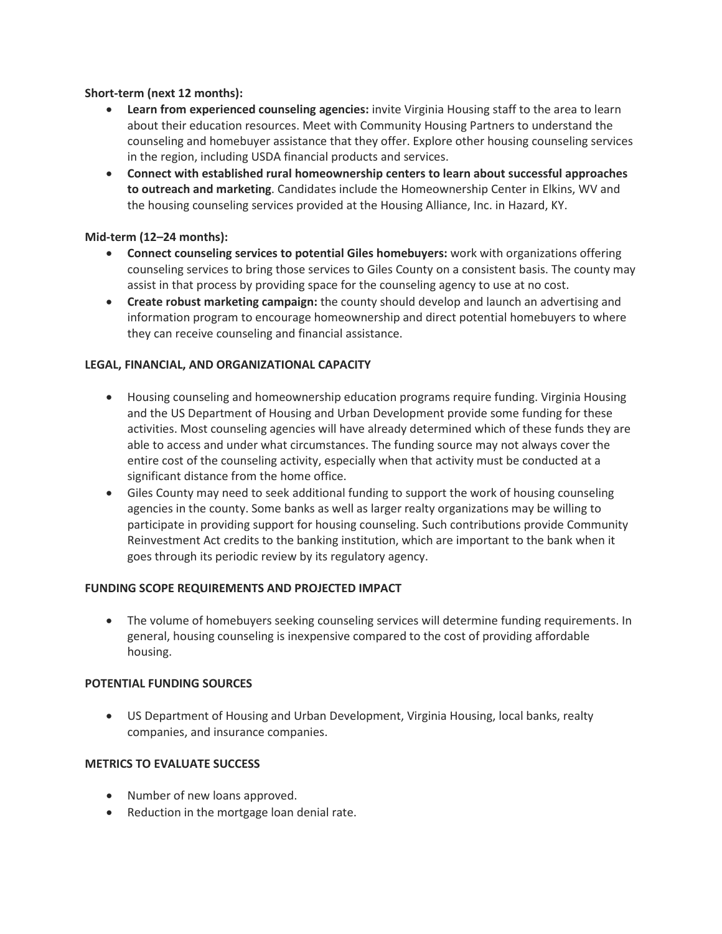# **Short-term (next 12 months):**

- **Learn from experienced counseling agencies:** invite Virginia Housing staff to the area to learn about their education resources. Meet with Community Housing Partners to understand the counseling and homebuyer assistance that they offer. Explore other housing counseling services in the region, including USDA financial products and services.
- **Connect with established rural homeownership centers to learn about successful approaches to outreach and marketing**. Candidates include the Homeownership Center in Elkins, WV and the housing counseling services provided at the Housing Alliance, Inc. in Hazard, KY.

### **Mid-term (12–24 months):**

- **Connect counseling services to potential Giles homebuyers:** work with organizations offering counseling services to bring those services to Giles County on a consistent basis. The county may assist in that process by providing space for the counseling agency to use at no cost.
- **Create robust marketing campaign:** the county should develop and launch an advertising and information program to encourage homeownership and direct potential homebuyers to where they can receive counseling and financial assistance.

# **LEGAL, FINANCIAL, AND ORGANIZATIONAL CAPACITY**

- Housing counseling and homeownership education programs require funding. Virginia Housing and the US Department of Housing and Urban Development provide some funding for these activities. Most counseling agencies will have already determined which of these funds they are able to access and under what circumstances. The funding source may not always cover the entire cost of the counseling activity, especially when that activity must be conducted at a significant distance from the home office.
- Giles County may need to seek additional funding to support the work of housing counseling agencies in the county. Some banks as well as larger realty organizations may be willing to participate in providing support for housing counseling. Such contributions provide Community Reinvestment Act credits to the banking institution, which are important to the bank when it goes through its periodic review by its regulatory agency.

### **FUNDING SCOPE REQUIREMENTS AND PROJECTED IMPACT**

• The volume of homebuyers seeking counseling services will determine funding requirements. In general, housing counseling is inexpensive compared to the cost of providing affordable housing.

# **POTENTIAL FUNDING SOURCES**

• US Department of Housing and Urban Development, Virginia Housing, local banks, realty companies, and insurance companies.

### **METRICS TO EVALUATE SUCCESS**

- Number of new loans approved.
- Reduction in the mortgage loan denial rate.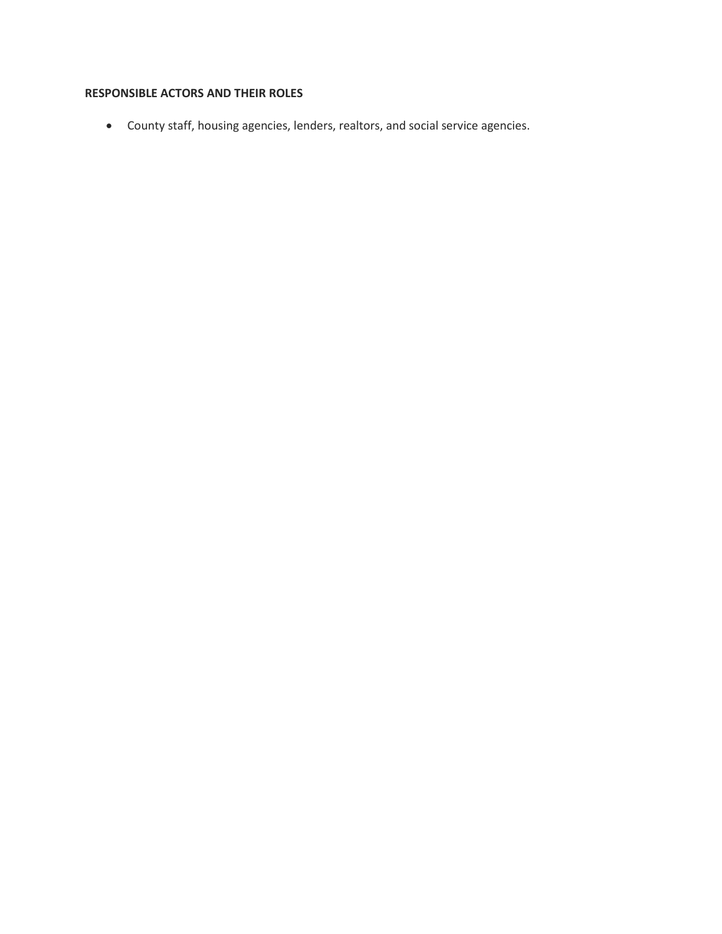# **RESPONSIBLE ACTORS AND THEIR ROLES**

• County staff, housing agencies, lenders, realtors, and social service agencies.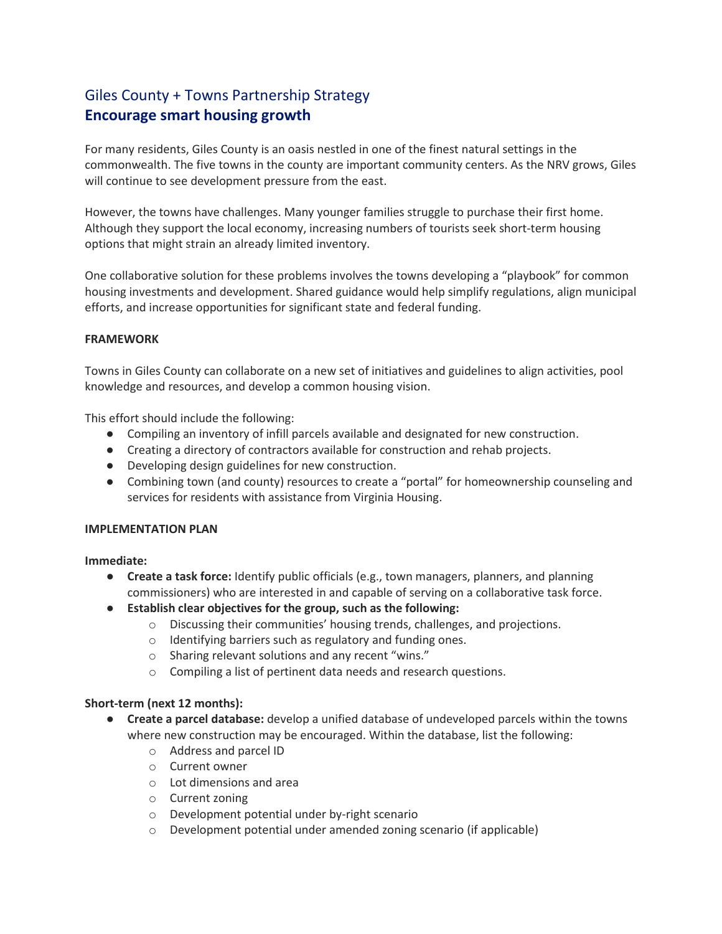# Giles County + Towns Partnership Strategy **Encourage smart housing growth**

For many residents, Giles County is an oasis nestled in one of the finest natural settings in the commonwealth. The five towns in the county are important community centers. As the NRV grows, Giles will continue to see development pressure from the east.

However, the towns have challenges. Many younger families struggle to purchase their first home. Although they support the local economy, increasing numbers of tourists seek short-term housing options that might strain an already limited inventory.

One collaborative solution for these problems involves the towns developing a "playbook" for common housing investments and development. Shared guidance would help simplify regulations, align municipal efforts, and increase opportunities for significant state and federal funding.

### **FRAMEWORK**

Towns in Giles County can collaborate on a new set of initiatives and guidelines to align activities, pool knowledge and resources, and develop a common housing vision.

This effort should include the following:

- Compiling an inventory of infill parcels available and designated for new construction.
- Creating a directory of contractors available for construction and rehab projects.
- Developing design guidelines for new construction.
- Combining town (and county) resources to create a "portal" for homeownership counseling and services for residents with assistance from Virginia Housing.

### **IMPLEMENTATION PLAN**

**Immediate:**

- **Create a task force:** Identify public officials (e.g., town managers, planners, and planning commissioners) who are interested in and capable of serving on a collaborative task force.
- **Establish clear objectives for the group, such as the following:**
	- o Discussing their communities' housing trends, challenges, and projections.
	- o Identifying barriers such as regulatory and funding ones.
	- o Sharing relevant solutions and any recent "wins."
	- o Compiling a list of pertinent data needs and research questions.

### **Short-term (next 12 months):**

- **Create a parcel database:** develop a unified database of undeveloped parcels within the towns where new construction may be encouraged. Within the database, list the following:
	- o Address and parcel ID
	- o Current owner
	- o Lot dimensions and area
	- o Current zoning
	- o Development potential under by-right scenario
	- o Development potential under amended zoning scenario (if applicable)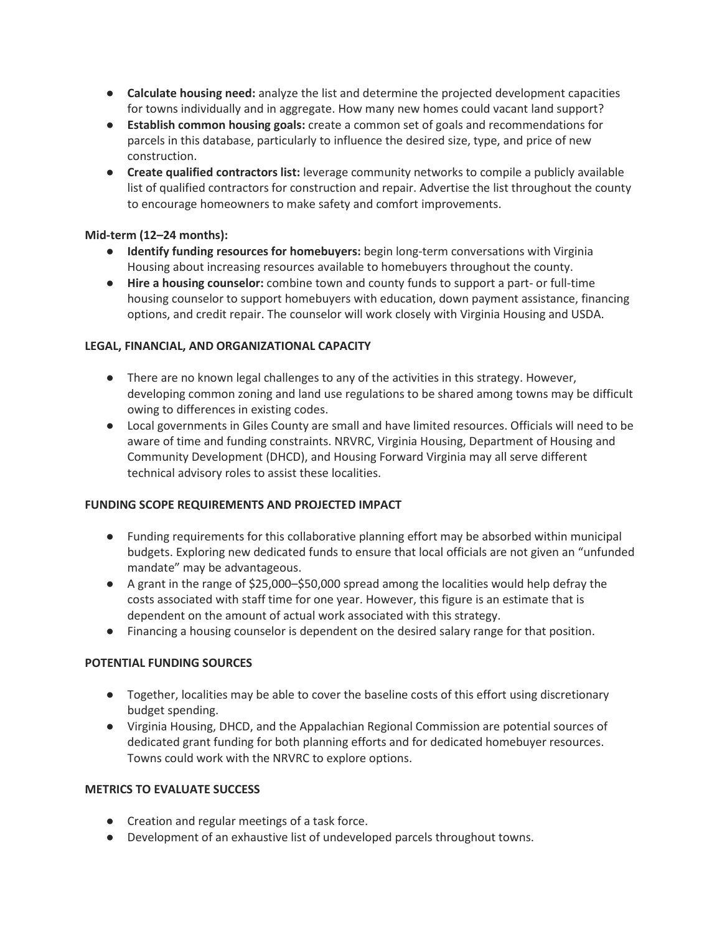- **Calculate housing need:** analyze the list and determine the projected development capacities for towns individually and in aggregate. How many new homes could vacant land support?
- **Establish common housing goals:** create a common set of goals and recommendations for parcels in this database, particularly to influence the desired size, type, and price of new construction.
- **Create qualified contractors list:** leverage community networks to compile a publicly available list of qualified contractors for construction and repair. Advertise the list throughout the county to encourage homeowners to make safety and comfort improvements.

# **Mid-term (12–24 months):**

- **Identify funding resources for homebuyers:** begin long-term conversations with Virginia Housing about increasing resources available to homebuyers throughout the county.
- **Hire a housing counselor:** combine town and county funds to support a part- or full-time housing counselor to support homebuyers with education, down payment assistance, financing options, and credit repair. The counselor will work closely with Virginia Housing and USDA.

# **LEGAL, FINANCIAL, AND ORGANIZATIONAL CAPACITY**

- There are no known legal challenges to any of the activities in this strategy. However, developing common zoning and land use regulations to be shared among towns may be difficult owing to differences in existing codes.
- Local governments in Giles County are small and have limited resources. Officials will need to be aware of time and funding constraints. NRVRC, Virginia Housing, Department of Housing and Community Development (DHCD), and Housing Forward Virginia may all serve different technical advisory roles to assist these localities.

### **FUNDING SCOPE REQUIREMENTS AND PROJECTED IMPACT**

- Funding requirements for this collaborative planning effort may be absorbed within municipal budgets. Exploring new dedicated funds to ensure that local officials are not given an "unfunded mandate" may be advantageous.
- A grant in the range of \$25,000–\$50,000 spread among the localities would help defray the costs associated with staff time for one year. However, this figure is an estimate that is dependent on the amount of actual work associated with this strategy.
- Financing a housing counselor is dependent on the desired salary range for that position.

### **POTENTIAL FUNDING SOURCES**

- Together, localities may be able to cover the baseline costs of this effort using discretionary budget spending.
- Virginia Housing, DHCD, and the Appalachian Regional Commission are potential sources of dedicated grant funding for both planning efforts and for dedicated homebuyer resources. Towns could work with the NRVRC to explore options.

### **METRICS TO EVALUATE SUCCESS**

- Creation and regular meetings of a task force.
- Development of an exhaustive list of undeveloped parcels throughout towns.